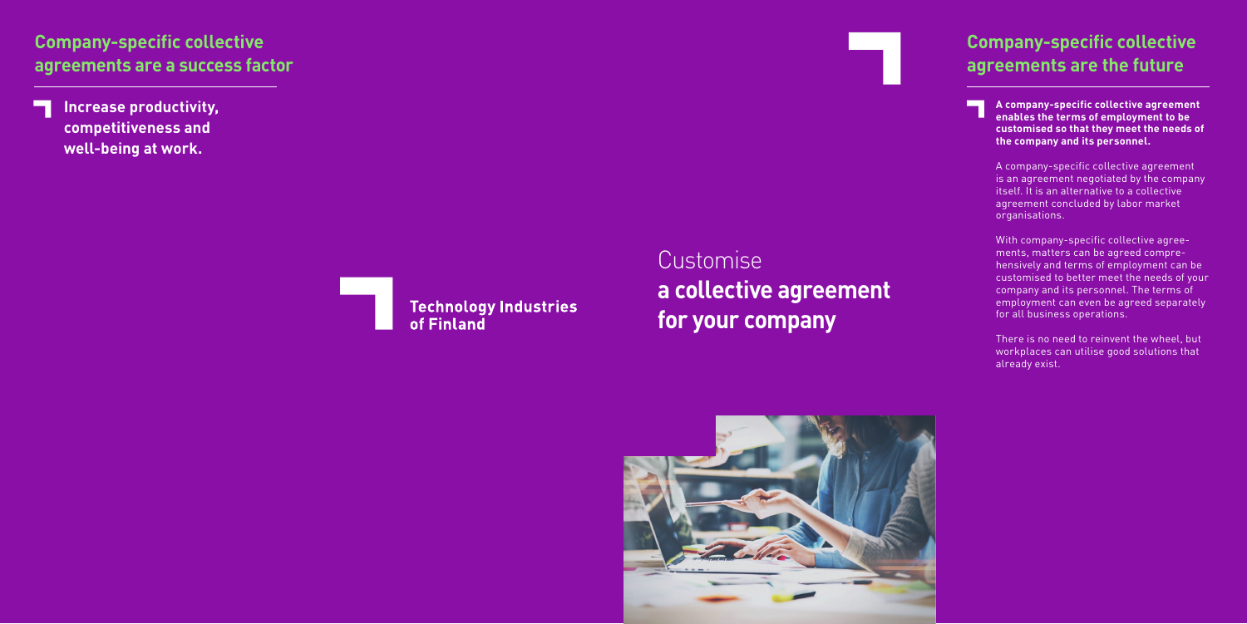#### **Company-specific collective agreements are a success factor**

**A company-specific collective agreement enables the terms of employment to be customised so that they meet the needs of the company and its personnel.** 

A company-specific collective agreement is an agreement negotiated by the company itself. It is an alternative to a collective agreement concluded by labor market organisations.

With company-specific collective agree ments, matters can be agreed compre hensively and terms of employment can be customised to better meet the needs of your company and its personnel. The terms of employment can even be agreed separately for all business operations.

There is no need to reinvent the wheel, but workplaces can utilise good solutions that already exist.

#### **Company-specific collective agreements are the future**

**Increase productivity, competitiveness and well-being at work.**



Customise **a collective agreement for your company**